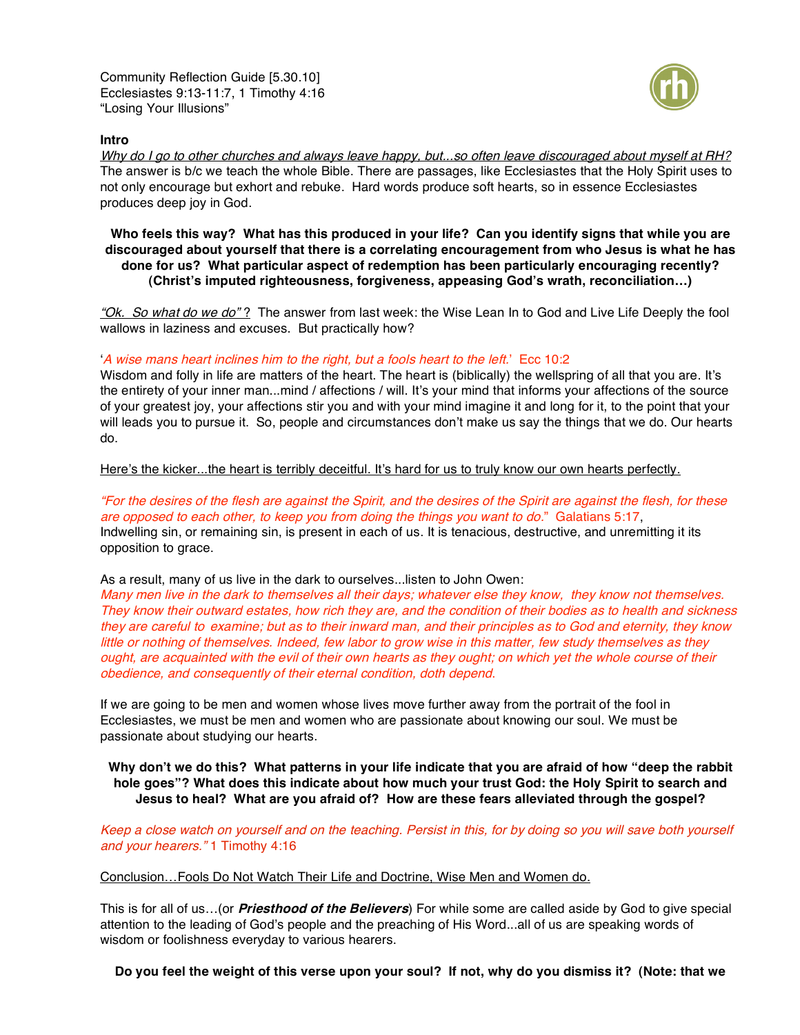Community Reflection Guide [5.30.10] Ecclesiastes 9:13-11:7, 1 Timothy 4:16 "Losing Your Illusions"

## **Intro**

Why do I go to other churches and always leave happy, but...so often leave discouraged about myself at RH? The answer is b/c we teach the whole Bible. There are passages, like Ecclesiastes that the Holy Spirit uses to not only encourage but exhort and rebuke. Hard words produce soft hearts, so in essence Ecclesiastes produces deep joy in God.

## Who feels this way? What has this produced in your life? Can you identify signs that while you are **discouraged about yourself that there is a correlating encouragement from who Jesus is what he has done for us? What particular aspect of redemption has been particularly encouraging recently? (Christ's imputed righteousness, forgiveness, appeasing God's wrath, reconciliation…)**

"Ok. So what do we do"? The answer from last week: the Wise Lean In to God and Live Life Deeply the fool wallows in laziness and excuses. But practically how?

## 'A wise mans heart inclines him to the right, but <sup>a</sup> fools heart to the left.' Ecc 10:2

Wisdom and folly in life are matters of the heart. The heart is (biblically) the wellspring of all that you are. It's the entirety of your inner man...mind / affections / will. It's your mind that informs your affections of the source of your greatest joy, your affections stir you and with your mind imagine it and long for it, to the point that your will leads you to pursue it. So, people and circumstances don't make us say the things that we do. Our hearts do.

Here's the kicker...the heart is terribly deceitful. It's hard for us to truly know our own hearts perfectly.

"For the desires of the flesh are against the Spirit, and the desires of the Spirit are against the flesh, for these are opposed to each other, to keep you from doing the things you want to do." Galatians 5:17, Indwelling sin, or remaining sin, is present in each of us. It is tenacious, destructive, and unremitting it its opposition to grace.

As a result, many of us live in the dark to ourselves...listen to John Owen:

Many men live in the dark to themselves all their days; whatever else they know, they know not themselves. They know their outward estates, how rich they are, and the condition of their bodies as to health and sickness they are careful to examine; but as to their inward man, and their principles as to God and eternity, they know little or nothing of themselves. Indeed, few labor to grow wise in this matter, few study themselves as they ought, are acquainted with the evil of their own hearts as they ought; on which yet the whole course of their obedience, and consequently of their eternal condition, doth depend.

If we are going to be men and women whose lives move further away from the portrait of the fool in Ecclesiastes, we must be men and women who are passionate about knowing our soul. We must be passionate about studying our hearts.

Why don't we do this? What patterns in your life indicate that you are afraid of how "deep the rabbit **hole goes"? What does this indicate about how much your trust God: the Holy Spirit to search and Jesus to heal? What are you afraid of? How are these fears alleviated through the gospel?**

Keep <sup>a</sup> close watch on yourself and on the teaching. Persist in this, for by doing so you will save both yourself and your hearers." 1 Timothy 4:16

Conclusion…Fools Do Not Watch Their Life and Doctrine, Wise Men and Women do.

This is for all of us…(or **Priesthood of the Believers**) For while some are called aside by God to give special attention to the leading of God's people and the preaching of His Word...all of us are speaking words of wisdom or foolishness everyday to various hearers.

Do you feel the weight of this verse upon your soul? If not, why do you dismiss it? (Note: that we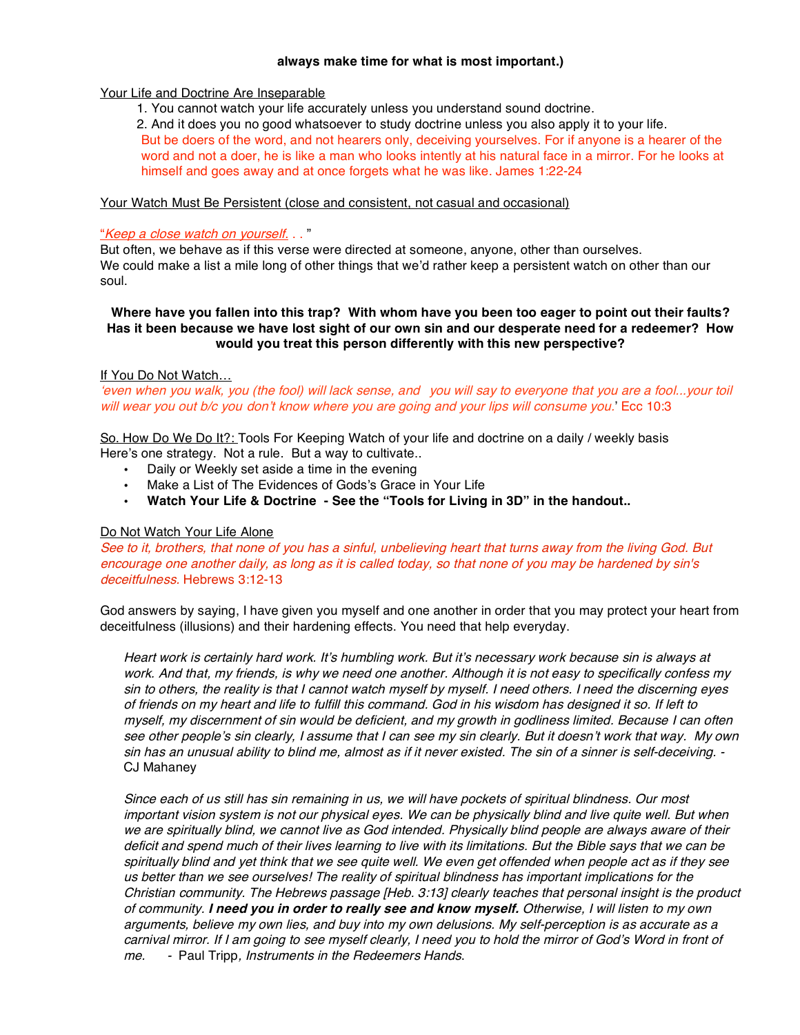## **always make time for what is most important.)**

## Your Life and Doctrine Are Inseparable

- 1. You cannot watch your life accurately unless you understand sound doctrine.
- 2. And it does you no good whatsoever to study doctrine unless you also apply it to your life.

But be doers of the word, and not hearers only, deceiving yourselves. For if anyone is a hearer of the word and not a doer, he is like a man who looks intently at his natural face in a mirror. For he looks at himself and goes away and at once forgets what he was like. James 1:22-24

## Your Watch Must Be Persistent (close and consistent, not casual and occasional)

# "Keep <sup>a</sup> close watch on yourself. . . "

But often, we behave as if this verse were directed at someone, anyone, other than ourselves. We could make a list a mile long of other things that we'd rather keep a persistent watch on other than our soul.

# Where have you fallen into this trap? With whom have you been too eager to point out their faults? Has it been because we have lost sight of our own sin and our desperate need for a redeemer? How **would you treat this person differently with this new perspective?**

## If You Do Not Watch…

'even when you walk, you (the fool) will lack sense, and you will say to everyone that you are <sup>a</sup> fool...your toil will wear you out b/c you don'<sup>t</sup> know where you are going and your lips will consume you.' Ecc 10:3

So. How Do We Do It?: Tools For Keeping Watch of your life and doctrine on a daily / weekly basis Here's one strategy. Not a rule. But a way to cultivate..

- Daily or Weekly set aside a time in the evening
- Make a List of The Evidences of Gods's Grace in Your Life
- **Watch Your Life & Doctrine - See the "Tools for Living in 3D" in the handout..**

## Do Not Watch Your Life Alone

See to it, brothers, that none of you has a sinful, unbelieving heart that turns away from the living God. But encourage one another daily, as long as it is called today, so that none of you may be hardened by sin's deceitfulness. Hebrews 3:12-13

God answers by saying, I have given you myself and one another in order that you may protect your heart from deceitfulness (illusions) and their hardening effects. You need that help everyday.

Heart work is certainly hard work. It'<sup>s</sup> humbling work. But it'<sup>s</sup> necessary work because sin is always at work. And that, my friends, is why we need one another. Although it is not easy to specifically confess my sin to others, the reality is that I cannot watch myself by myself. I need others. I need the discerning eyes of friends on my heart and life to fulfill this command. God in his wisdom has designed it so. If left to myself, my discernment of sin would be deficient, and my growth in godliness limited. Because I can often see other people'<sup>s</sup> sin clearly, I assume that I can see my sin clearly. But it doesn't work that way. My own sin has an unusual ability to blind me, almost as if it never existed. The sin of <sup>a</sup> sinner is self-deceiving. - CJ Mahaney

Since each of us still has sin remaining in us, we will have pockets of spiritual blindness. Our most important vision system is not our physical eyes. We can be physically blind and live quite well. But when we are spiritually blind, we cannot live as God intended. Physically blind people are always aware of their deficit and spend much of their lives learning to live with its limitations. But the Bible says that we can be spiritually blind and yet think that we see quite well. We even get offended when people act as if they see us better than we see ourselves! The reality of spiritual blindness has important implications for the Christian community. The Hebrews passage [Heb. 3:13] clearly teaches that personal insight is the product of community. **I need you in order to really see and know myself.** Otherwise, I will listen to my own arguments, believe my own lies, and buy into my own delusions. My self-perception is as accurate as <sup>a</sup> carnival mirror. If I am going to see myself clearly, I need you to hold the mirror of God'<sup>s</sup> Word in front of me. - Paul Tripp, Instruments in the Redeemers Hands.